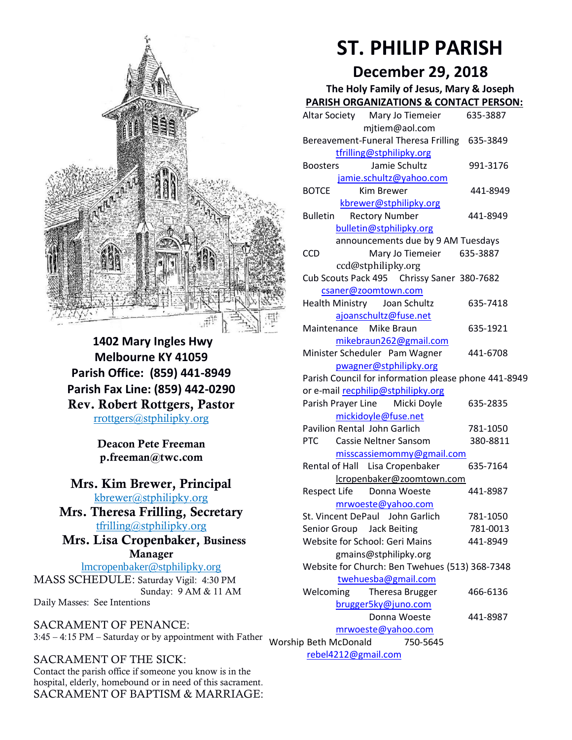

**1402 Mary Ingles Hwy Melbourne KY 41059 Parish Office: (859) 441-8949 Parish Fax Line: (859) 442-0290** Rev. Robert Rottgers, Pastor [rrottgers@stphilipky.org](mailto:rrottgers@stphilipky.org)

> Deacon Pete Freeman p.freeman@twc.com

### Mrs. Kim Brewer, Principal [kbrewer@stphilipky.org](mailto:kbrewer@stphilipky.org)

Mrs. Theresa Frilling, Secretary [tfrilling@stphilipky.org](mailto:tfrilling@stphilipky.org)

 Mrs. Lisa Cropenbaker, Business Manager

lmcropenbaker@stphilipky.org MASS SCHEDULE: Saturday Vigil: 4:30 PM Sunday: 9 AM & 11 AM Daily Masses: See Intentions

SACRAMENT OF PENANCE: 3:45 – 4:15 PM – Saturday or by appointment with Father Worship Beth McDonald 750-5645

# SACRAMENT OF THE SICK:

Contact the parish office if someone you know is in the hospital, elderly, homebound or in need of this sacrament. SACRAMENT OF BAPTISM & MARRIAGE:

# **ST. PHILIP PARISH**

# **December 29, 2018**

**The Holy Family of Jesus, Mary & Joseph**

| <b>PARISH ORGANIZATIONS &amp; CONTACT PERSON:</b>                          |          |
|----------------------------------------------------------------------------|----------|
| Altar Society Mary Jo Tiemeier                                             | 635-3887 |
| mjtiem@aol.com                                                             |          |
| Bereavement-Funeral Theresa Frilling 635-3849                              |          |
| tfrilling@stphilipky.org                                                   |          |
| Jamie Schultz<br><b>Boosters</b>                                           | 991-3176 |
| jamie.schultz@yahoo.com                                                    |          |
| <b>BOTCE</b><br>Kim Brewer                                                 | 441-8949 |
| kbrewer@stphilipky.org                                                     |          |
| <b>Rectory Number</b><br><b>Bulletin</b>                                   | 441-8949 |
| bulletin@stphilipky.org                                                    |          |
| announcements due by 9 AM Tuesdays                                         |          |
| Mary Jo Tiemeier 635-3887<br><b>CCD</b>                                    |          |
| ccd@stphilipky.org                                                         |          |
| Cub Scouts Pack 495 Chrissy Saner 380-7682                                 |          |
| csaner@zoomtown.com                                                        |          |
| Health Ministry Joan Schultz                                               | 635-7418 |
| ajoanschultz@fuse.net                                                      |          |
| Maintenance Mike Braun                                                     | 635-1921 |
| mikebraun262@gmail.com                                                     |          |
| Minister Scheduler Pam Wagner                                              | 441-6708 |
| pwagner@stphilipky.org                                                     |          |
| Parish Council for information please phone 441-8949                       |          |
| or e-mail recphilip@stphilipky.org                                         |          |
| Parish Prayer Line Micki Doyle                                             | 635-2835 |
| mickidoyle@fuse.net                                                        |          |
| Pavilion Rental John Garlich<br><b>PTC</b><br><b>Cassie Neltner Sansom</b> | 781-1050 |
|                                                                            | 380-8811 |
| misscassiemommy@gmail.com                                                  | 635-7164 |
| Rental of Hall Lisa Cropenbaker                                            |          |
| lcropenbaker@zoomtown.com<br>Respect Life Donna Woeste                     | 441-8987 |
|                                                                            |          |
| mrwoeste@yahoo.com<br>St. Vincent DePaul John Garlich                      | 781-1050 |
| Senior Group Jack Beiting                                                  | 781-0013 |
| <b>Website for School: Geri Mains</b>                                      | 441-8949 |
| gmains@stphilipky.org                                                      |          |
| Website for Church: Ben Twehues (513) 368-7348                             |          |
| twehuesba@gmail.com                                                        |          |
| Welcoming<br>Theresa Brugger                                               | 466-6136 |
| brugger5ky@juno.com                                                        |          |
| Donna Woeste                                                               | 441-8987 |
| mrwoeste@yahoo.com                                                         |          |
| ip Beth McDonald 750-5645                                                  |          |
| rebel4212@gmail.com                                                        |          |
|                                                                            |          |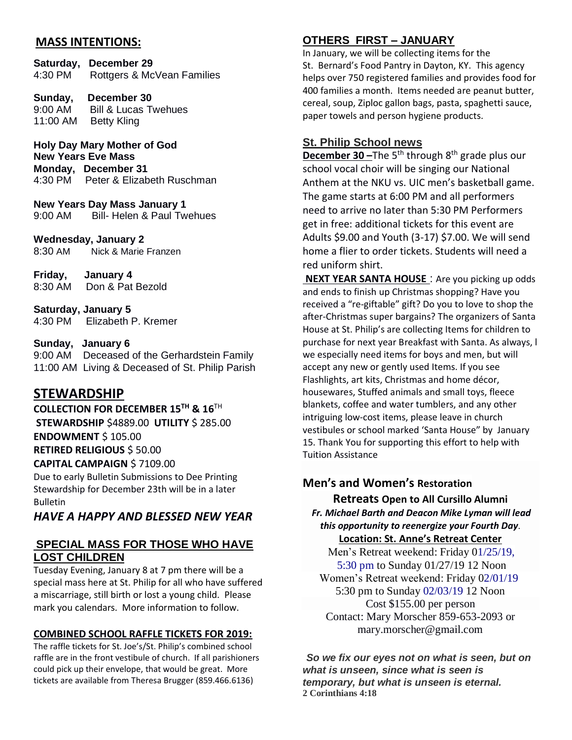# **MASS INTENTIONS:**

**Saturday, December 29** 4:30 PM Rottgers & McVean Families

**Sunday, December 30** 9:00 AM Bill & Lucas Twehues 11:00 AM Betty Kling

**Holy Day Mary Mother of God New Years Eve Mass Monday, December 31**  4:30 PM Peter & Elizabeth Ruschman

**New Years Day Mass January 1** 9:00 AM Bill- Helen & Paul Twehues

#### **Wednesday, January 2**

8:30 AM Nick & Marie Franzen

**Friday, January 4** 8:30 AMDon & Pat Bezold

**Saturday, January 5** 4:30 PM Elizabeth P. Kremer

#### **Sunday, January 6**

9:00 AM Deceased of the Gerhardstein Family 11:00 AM Living & Deceased of St. Philip Parish

# **STEWARDSHIP**

**COLLECTION FOR DECEMBER 15TH & 16**TH

**STEWARDSHIP** \$4889.00 **UTILITY** \$ 285.00 **ENDOWMENT** \$ 105.00 **RETIRED RELIGIOUS** \$ 50.00 **CAPITAL CAMPAIGN** \$ 7109.00

Due to early Bulletin Submissions to Dee Printing Stewardship for December 23th will be in a later Bulletin

*HAVE A HAPPY AND BLESSED NEW YEAR*

# **SPECIAL MASS FOR THOSE WHO HAVE LOST CHILDREN**

Tuesday Evening, January 8 at 7 pm there will be a special mass here at St. Philip for all who have suffered a miscarriage, still birth or lost a young child. Please mark you calendars. More information to follow.

#### **COMBINED SCHOOL RAFFLE TICKETS FOR 2019:**

The raffle tickets for St. Joe's/St. Philip's combined school raffle are in the front vestibule of church. If all parishioners could pick up their envelope, that would be great. More tickets are available from Theresa Brugger (859.466.6136)

# **OTHERS FIRST – JANUARY**

In January, we will be collecting items for the St. Bernard's Food Pantry in Dayton, KY. This agency helps over 750 registered families and provides food for 400 families a month. Items needed are peanut butter, cereal, soup, Ziploc gallon bags, pasta, spaghetti sauce, paper towels and person hygiene products.

# **St. Philip School news**

**December 30 –The 5<sup>th</sup> through 8<sup>th</sup> grade plus our** school vocal choir will be singing our National Anthem at the NKU vs. UIC men's basketball game. The game starts at 6:00 PM and all performers need to arrive no later than 5:30 PM Performers get in free: additional tickets for this event are Adults \$9.00 and Youth (3-17) \$7.00. We will send home a flier to order tickets. Students will need a red uniform shirt.

**NEXT YEAR SANTA HOUSE** : Are you picking up odds and ends to finish up Christmas shopping? Have you received a "re-giftable" gift? Do you to love to shop the after-Christmas super bargains? The organizers of Santa House at St. Philip's are collecting Items for children to purchase for next year Breakfast with Santa. As always, l we especially need items for boys and men, but will accept any new or gently used Items. If you see Flashlights, art kits, Christmas and home décor, housewares, Stuffed animals and small toys, fleece blankets, coffee and water tumblers, and any other intriguing low-cost items, please leave in church vestibules or school marked 'Santa House" by January 15. Thank You for supporting this effort to help with Tuition Assistance

# **Men's and Women's Restoration**

**Retreats Open to All Cursillo Alumni** *Fr. Michael Barth and Deacon Mike Lyman will lead this opportunity to reenergize your Fourth Day.* **Location: St. Anne's Retreat Center**

Men's Retreat weekend: Friday 01/25/19, 5:30 pm to Sunday 01/27/19 12 Noon Women's Retreat weekend: Friday 02/01/19 5:30 pm to Sunday 02/03/19 12 Noon Cost \$155.00 per person Contact: Mary Morscher 859-653-2093 or mary.morscher@gmail.com

*So we fix our eyes not on what is seen, but on what is unseen, since what is seen is temporary, but what is unseen is eternal.* **2 Corinthians 4:18**